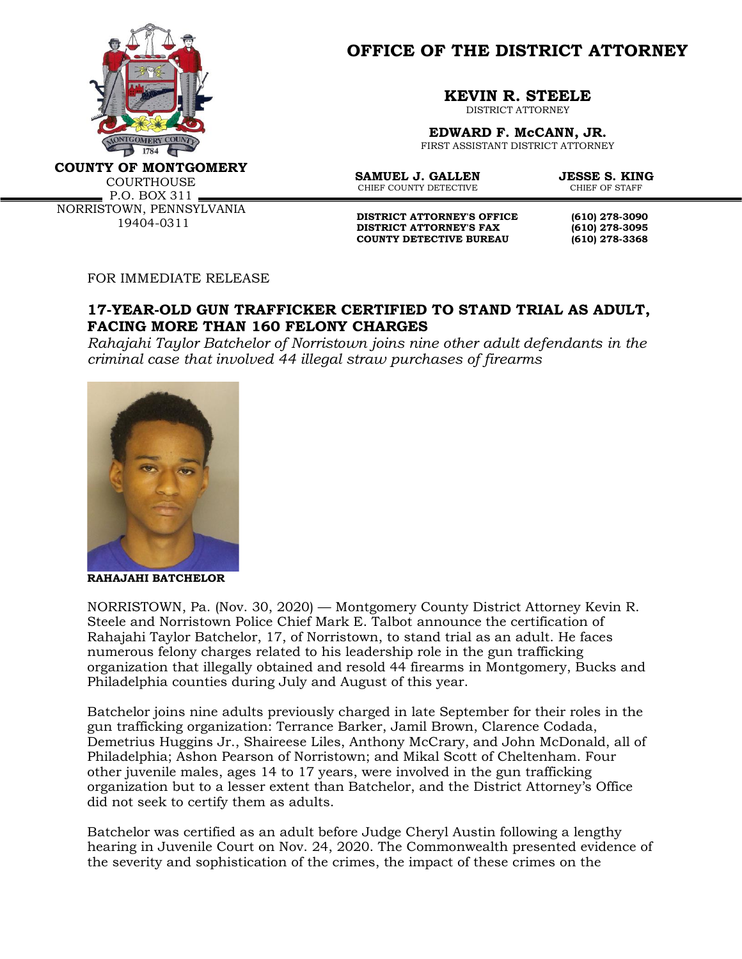

**OFFICE OF THE DISTRICT ATTORNEY**

**KEVIN R. STEELE**

DISTRICT ATTORNEY

**EDWARD F. McCANN, JR.** FIRST ASSISTANT DISTRICT ATTORNEY

**COUNTY OF MONTGOMERY**

**COURTHOUSE**  $P.0. BOX 311$ 

NORRISTOWN, PENNSYLVANIA 19404-0311

**SAMUEL J. GALLEN JESSE S. KING**<br>CHIEF COUNTY DETECTIVE CHIEF OF STAFF CHIEF COUNTY DETECTIVE

**DISTRICT ATTORNEY'S OFFICE** (610) 278-3090<br>DISTRICT ATTORNEY'S FAX (610) 278-3095 **DISTRICT ATTORNEY'S FAX COUNTY DETECTIVE BUREAU (610) 278-3368**

FOR IMMEDIATE RELEASE

## **17-YEAR-OLD GUN TRAFFICKER CERTIFIED TO STAND TRIAL AS ADULT, FACING MORE THAN 160 FELONY CHARGES**

*Rahajahi Taylor Batchelor of Norristown joins nine other adult defendants in the criminal case that involved 44 illegal straw purchases of firearms*



**RAHAJAHI BATCHELOR**

NORRISTOWN, Pa. (Nov. 30, 2020) — Montgomery County District Attorney Kevin R. Steele and Norristown Police Chief Mark E. Talbot announce the certification of Rahajahi Taylor Batchelor, 17, of Norristown, to stand trial as an adult. He faces numerous felony charges related to his leadership role in the gun trafficking organization that illegally obtained and resold 44 firearms in Montgomery, Bucks and Philadelphia counties during July and August of this year.

Batchelor joins nine adults previously charged in late September for their roles in the gun trafficking organization: Terrance Barker, Jamil Brown, Clarence Codada, Demetrius Huggins Jr., Shaireese Liles, Anthony McCrary, and John McDonald, all of Philadelphia; Ashon Pearson of Norristown; and Mikal Scott of Cheltenham. Four other juvenile males, ages 14 to 17 years, were involved in the gun trafficking organization but to a lesser extent than Batchelor, and the District Attorney's Office did not seek to certify them as adults.

Batchelor was certified as an adult before Judge Cheryl Austin following a lengthy hearing in Juvenile Court on Nov. 24, 2020. The Commonwealth presented evidence of the severity and sophistication of the crimes, the impact of these crimes on the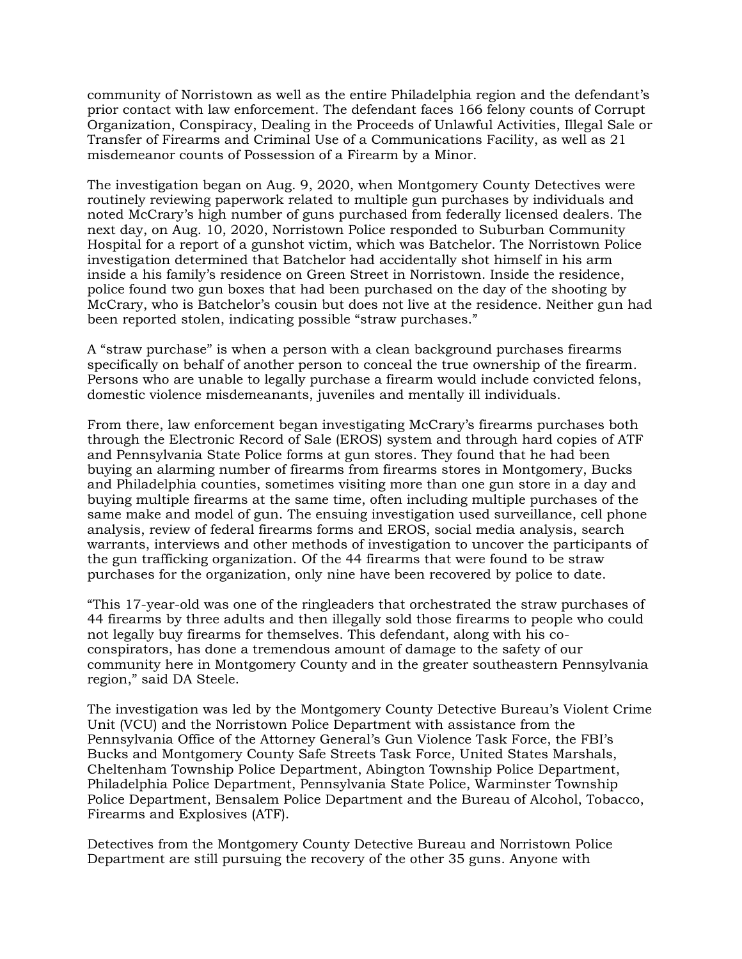community of Norristown as well as the entire Philadelphia region and the defendant's prior contact with law enforcement. The defendant faces 166 felony counts of Corrupt Organization, Conspiracy, Dealing in the Proceeds of Unlawful Activities, Illegal Sale or Transfer of Firearms and Criminal Use of a Communications Facility, as well as 21 misdemeanor counts of Possession of a Firearm by a Minor.

The investigation began on Aug. 9, 2020, when Montgomery County Detectives were routinely reviewing paperwork related to multiple gun purchases by individuals and noted McCrary's high number of guns purchased from federally licensed dealers. The next day, on Aug. 10, 2020, Norristown Police responded to Suburban Community Hospital for a report of a gunshot victim, which was Batchelor. The Norristown Police investigation determined that Batchelor had accidentally shot himself in his arm inside a his family's residence on Green Street in Norristown. Inside the residence, police found two gun boxes that had been purchased on the day of the shooting by McCrary, who is Batchelor's cousin but does not live at the residence. Neither gun had been reported stolen, indicating possible "straw purchases."

A "straw purchase" is when a person with a clean background purchases firearms specifically on behalf of another person to conceal the true ownership of the firearm*.* Persons who are unable to legally purchase a firearm would include convicted felons, domestic violence misdemeanants, juveniles and mentally ill individuals.

From there, law enforcement began investigating McCrary's firearms purchases both through the Electronic Record of Sale (EROS) system and through hard copies of ATF and Pennsylvania State Police forms at gun stores. They found that he had been buying an alarming number of firearms from firearms stores in Montgomery, Bucks and Philadelphia counties, sometimes visiting more than one gun store in a day and buying multiple firearms at the same time, often including multiple purchases of the same make and model of gun. The ensuing investigation used surveillance, cell phone analysis, review of federal firearms forms and EROS, social media analysis, search warrants, interviews and other methods of investigation to uncover the participants of the gun trafficking organization. Of the 44 firearms that were found to be straw purchases for the organization, only nine have been recovered by police to date.

"This 17-year-old was one of the ringleaders that orchestrated the straw purchases of 44 firearms by three adults and then illegally sold those firearms to people who could not legally buy firearms for themselves. This defendant, along with his coconspirators, has done a tremendous amount of damage to the safety of our community here in Montgomery County and in the greater southeastern Pennsylvania region," said DA Steele.

The investigation was led by the Montgomery County Detective Bureau's Violent Crime Unit (VCU) and the Norristown Police Department with assistance from the Pennsylvania Office of the Attorney General's Gun Violence Task Force, the FBI's Bucks and Montgomery County Safe Streets Task Force, United States Marshals, Cheltenham Township Police Department, Abington Township Police Department, Philadelphia Police Department, Pennsylvania State Police, Warminster Township Police Department, Bensalem Police Department and the Bureau of Alcohol, Tobacco, Firearms and Explosives (ATF).

Detectives from the Montgomery County Detective Bureau and Norristown Police Department are still pursuing the recovery of the other 35 guns. Anyone with